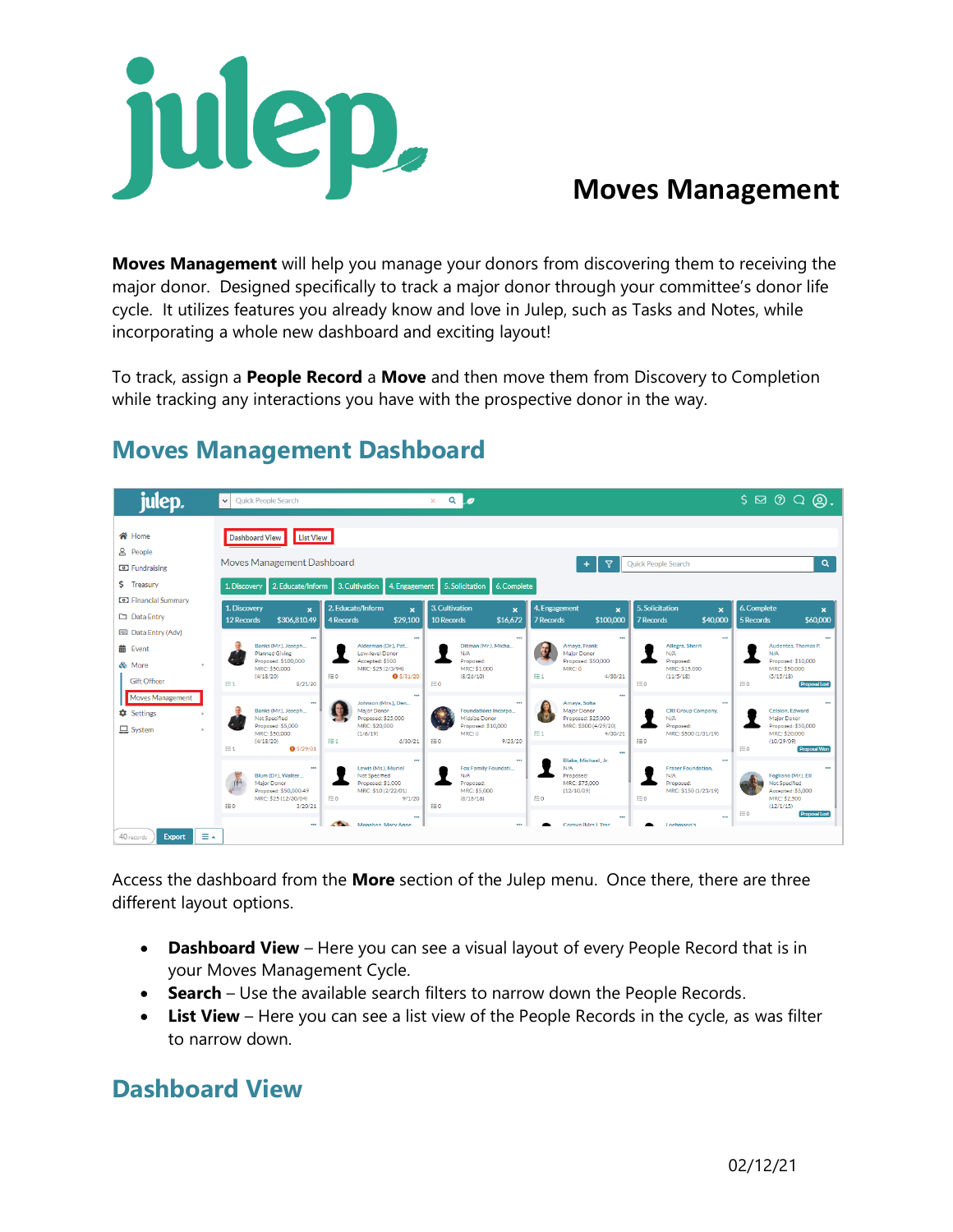

# **Moves Management**

**Moves Management** will help you manage your donors from discovering them to receiving the major donor. Designed specifically to track a major donor through your committee's donor life cycle. It utilizes features you already know and love in Julep, such as Tasks and Notes, while incorporating a whole new dashboard and exciting layout!

To track, assign a **People Record** a **Move** and then move them from Discovery to Completion while tracking any interactions you have with the prospective donor in the way.



## **Moves Management Dashboard**

Access the dashboard from the **More** section of the Julep menu. Once there, there are three different layout options.

- **Dashboard View** Here you can see a visual layout of every People Record that is in your Moves Management Cycle.
- **Search** Use the available search filters to narrow down the People Records.
- **List View** Here you can see a list view of the People Records in the cycle, as was filter to narrow down.

## **Dashboard View**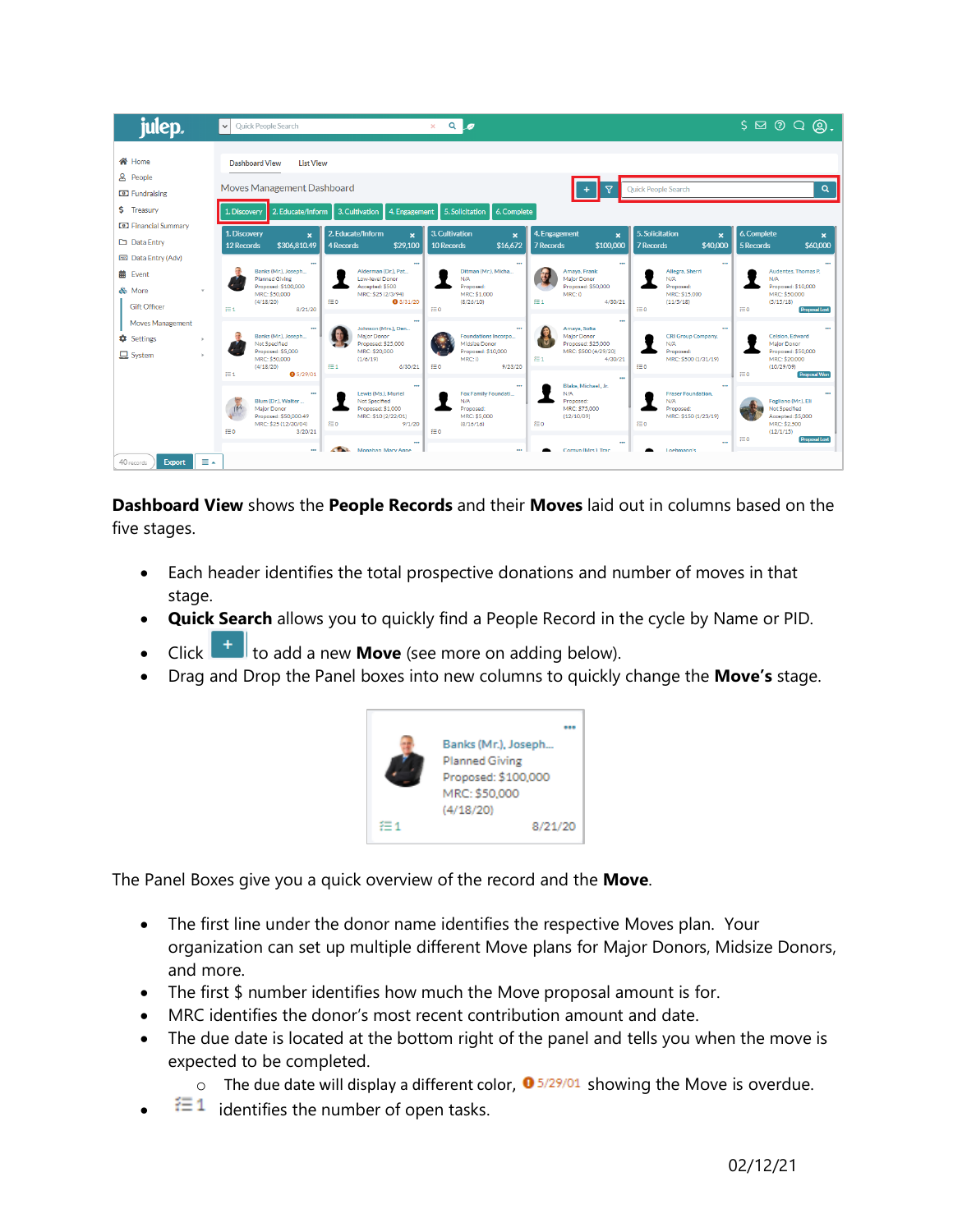| julep.                                                                                   | $Q$ $q$<br>$\checkmark$<br>Quick People Search<br>$\times$                                                                                                                                                                                                                                                                                                                                                                                                                                                                                                                    | $S \boxtimes \odot \textcircled{a}$ .                                                                                 |
|------------------------------------------------------------------------------------------|-------------------------------------------------------------------------------------------------------------------------------------------------------------------------------------------------------------------------------------------------------------------------------------------------------------------------------------------------------------------------------------------------------------------------------------------------------------------------------------------------------------------------------------------------------------------------------|-----------------------------------------------------------------------------------------------------------------------|
| 谷 Home<br><b>&amp; People</b><br><b>C</b> Fundraising<br>\$ Treasury                     | <b>Dashboard View</b><br><b>List View</b><br>Moves Management Dashboard<br>Quick People Search<br>ᢒ<br>3. Cultivation<br>4. Engagement<br>5. Solicitation<br>6. Complete<br>1. Discovery<br>2. Educate/Inform                                                                                                                                                                                                                                                                                                                                                                 | $\alpha$                                                                                                              |
| <b>D</b> Financial Summary<br>Data Entry                                                 | 5. Solicitation<br>1. Discovery<br>2. Educate/Inform<br>3. Cultivation<br>4. Engagement<br>$\mathbf{x}$<br>$\mathbf{x}$<br>$\boldsymbol{\mathsf{x}}$<br>$\boldsymbol{\mathsf{x}}$<br>$\boldsymbol{\mathsf{x}}$<br>\$16,672<br>\$306.810.49<br>\$29,100<br>\$100,000<br>\$40,000<br>12 Records<br>10 Records<br>7 Records<br>4 Records<br>7 Records                                                                                                                                                                                                                            | 6. Complete<br>\$60,000<br>5 Records                                                                                  |
| <b>ESS</b> Data Entry (Adv)<br><b>前</b> Event<br>& More<br>$\tau$<br><b>Gift Officer</b> | $\cdots$<br>$\cdots$<br>$\cdots$<br>$\cdots$<br>$\ddot{\phantom{1}}$<br>Banks (Mr.), Joseph<br>Alderman (Dr.), Pat<br>Ditman (Mr.), Micha<br>Amaya, Frank<br>Allegra, Sherri<br><b>Planned Giving</b><br>Low-level Donor<br>N/A<br>Major Donor<br>N/A<br>Proposed: \$100,000<br>Accepted: \$500<br>Proposed: \$50,000<br>Proposed:<br>Proposed:<br>MRC: \$50,000<br>MRC: \$25 (2/3/94)<br>MRC: \$1,000<br>MRC:0<br>MRC: \$15,000<br>æ o<br>$E = 1$<br><b>0</b> 3/31/20<br>(8/26/10)<br>4/30/21<br>(4/18/20)<br>(11/5/18)<br><b>狂1</b><br>f≣0<br>ίΞο<br>8/21/20                | Audentes, Thomas P.<br>N/A<br>Proposed: \$10,000<br>MRC: \$50,000<br>(5/15/18)<br>$f \equiv 0$<br>Proposal Lost       |
| <b>Moves Management</b><br><b>C</b> Settings<br>$\Box$ System                            | $\ddot{\phantom{1}}$<br>$\ddot{\phantom{a}}$<br>Johnson (Mrs.), Den<br>Amaya, Sofia<br>Banks (Mr.), Joseph<br>Maior Donor<br>Major Donor<br>Foundations Incorpo<br><b>CRI Group Company.</b><br>Not Specified<br>Proposed: \$25,000<br>Midsize Donor<br>Proposed: \$25,000<br>N/A<br>Proposed: \$5,000<br>MRC: \$20,000<br>MRC: \$500 (4/29/20)<br>Proposed: \$10,000<br>Proposed:<br>$f \equiv 1$<br>MRC: \$50,000<br>MRC:0<br>MRC: \$500 (1/31/19)<br>(1/6/19)<br>4/30/21<br>$E = 1$<br>f≡0<br>{⊟ 0<br>(4/18/20)<br>6/30/21<br>9/23/20<br><b>狂1</b><br>05/29/01<br>$\cdots$ | Celsion, Edward<br>Maior Donor<br>Proposed: \$50,000<br>MRC: \$20,000<br>(10/29/09)<br>f≡0<br><b>Proposal Won</b>     |
|                                                                                          | Blake, Michael, Jr.<br>$\cdots$<br>$\ddot{\phantom{1}}$<br>$\cdots$<br>Fox Family Foundati<br>Lewis (Ms.), Muriel<br>N/A<br><b>Fraser Foundation.</b><br>Blum (Dr.), Walter<br>Not Specified<br>N/A<br>N/A<br>Proposed:<br>Major Donor<br>Proposed: \$1,000<br>MRC: \$75,000<br>Proposed:<br>Proposed:<br>Proposed: \$50,000.49<br>MRC: \$10 (2/22/01)<br>MRC: \$5,000<br>(12/10/09)<br>MRC: \$150 (1/23/19)<br>æο<br>iΞo<br>MRC: \$25 (12/30/04)<br>细心<br>9/1/20<br>(8/16/16)<br>£⊟o<br>f≡0<br>3/20/21                                                                       | Fogliano (Mr.), Eli<br>Not Specified<br>Accepted: \$5,000<br>MRC: \$2,500<br>(12/1/15)<br>f≡0<br><b>Proposal Lost</b> |
| ≣∡<br>40 records<br><b>Export</b>                                                        | $\ddot{\phantom{a}}$<br><b>COLLECTION</b><br>Monahan Mary Anne<br>Cornyn (Mrs.) Trac<br>$\overline{a}$<br>Loehmann's<br>$\sim$                                                                                                                                                                                                                                                                                                                                                                                                                                                |                                                                                                                       |

**Dashboard View** shows the **People Records** and their **Moves** laid out in columns based on the five stages.

- Each header identifies the total prospective donations and number of moves in that stage.
- **Quick Search** allows you to quickly find a People Record in the cycle by Name or PID.
- Click **that** to add a new **Move** (see more on adding below).
- Drag and Drop the Panel boxes into new columns to quickly change the **Move's** stage.



The Panel Boxes give you a quick overview of the record and the **Move**.

- The first line under the donor name identifies the respective Moves plan. Your organization can set up multiple different Move plans for Major Donors, Midsize Donors, and more.
- The first \$ number identifies how much the Move proposal amount is for.
- MRC identifies the donor's most recent contribution amount and date.
- The due date is located at the bottom right of the panel and tells you when the move is expected to be completed.
	- $\circ$  The due date will display a different color,  $\bullet$  5/29/01 showing the Move is overdue.
- $\equiv 1$  identifies the number of open tasks.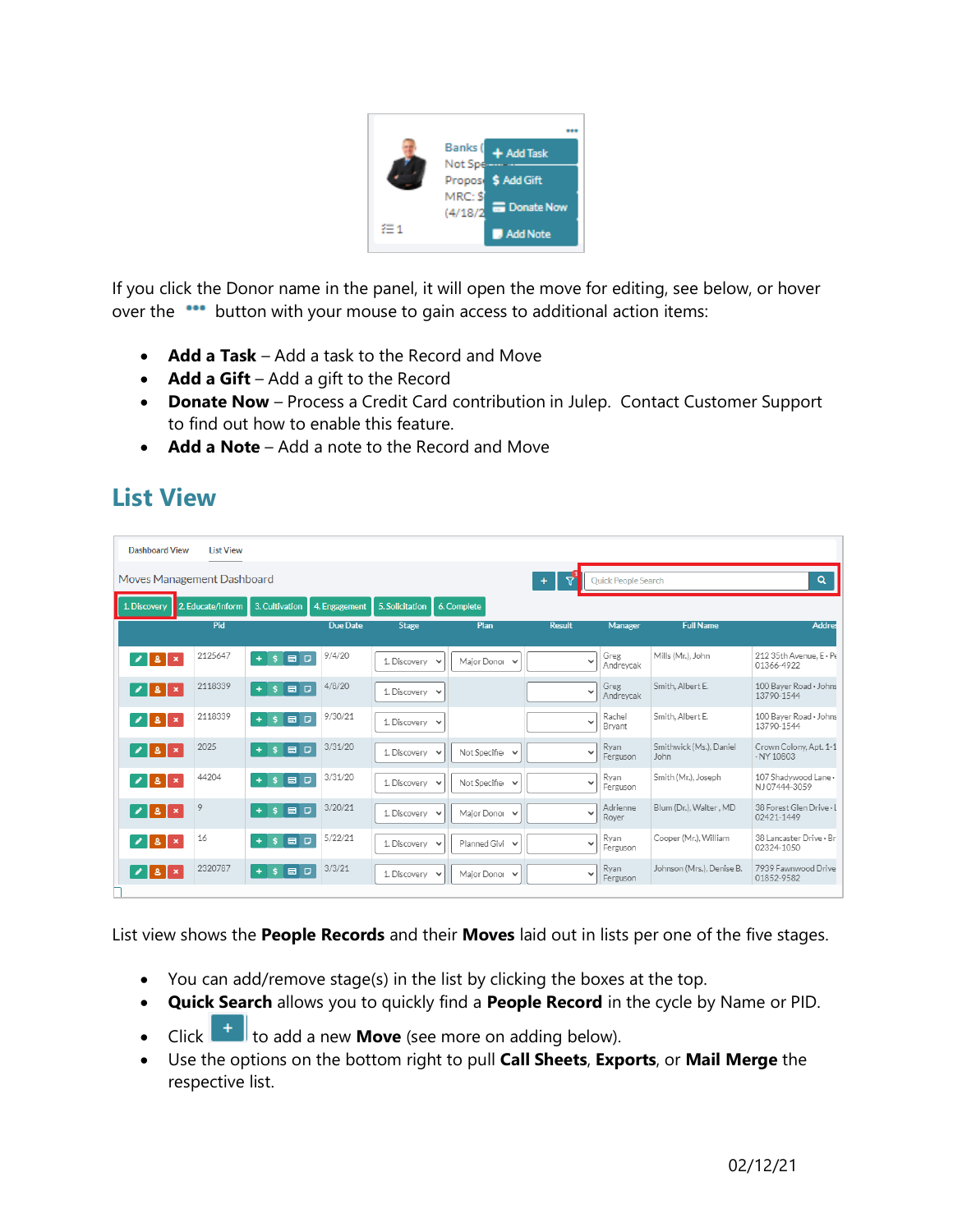

If you click the Donor name in the panel, it will open the move for editing, see below, or hover over the **\*\*\*** button with your mouse to gain access to additional action items:

- **Add a Task** Add a task to the Record and Move
- **Add a Gift** Add a gift to the Record
- **Donate Now** Process a Credit Card contribution in Julep. Contact Customer Support to find out how to enable this feature.
- **Add a Note** Add a note to the Record and Move

## **List View**

| <b>Dashboard View</b>           | <b>List View</b>           |                                  |               |                     |                              |               |                     |                                 |                                            |
|---------------------------------|----------------------------|----------------------------------|---------------|---------------------|------------------------------|---------------|---------------------|---------------------------------|--------------------------------------------|
|                                 | Moves Management Dashboard |                                  |               |                     |                              | 5<br>$+$      | Quick People Search |                                 | Q                                          |
| 1. Discovery                    | 2. Educate/Inform          | 3. Cultivation                   | 4. Engagement | 5. Solicitation     | 6. Complete                  |               |                     |                                 |                                            |
|                                 | Pid                        |                                  | Due Date      | <b>Stage</b>        | Plan                         | <b>Result</b> | Manager             | <b>Full Name</b>                | <b>Addres</b>                              |
| $\angle$   8   $\times$         | 2125647                    | $\ddot{\mathsf{s}}$<br>80<br>$+$ | 9/4/20        | 1. Discovery v      | Maior Donor V                |               | Greg<br>Andreycak   | Mills (Mr.), John               | 212 35th Avenue, E . Pe<br>01366-4922      |
| 2 8 x                           | 2118339                    | 60<br>չ<br>$\ddot{}$             | 4/8/20        | 1. Discovery $\vee$ |                              | $\checkmark$  | Greg<br>Andreycak   | Smith, Albert E.                | 100 Bayer Road · Johns<br>13790-1544       |
| 2 8                             | 2118339                    | $S$ $B$ $D$<br>$+1$              | 9/30/21       | 1. Discovery $\vee$ |                              | Ŵ             | Rachel<br>Bryant    | Smith, Albert E.                | 100 Baver Road · Johns<br>13790-1544       |
| 18                              | 2025                       | 8 D<br>Š.                        | 3/31/20       | 1. Discovery v      | Not Specifier v              | Ü             | Ryan<br>Ferguson    | Smithwick (Ms.), Daniel<br>John | Crown Colony, Apt. 1-1<br>$\cdot$ NY 10803 |
| $\mathbf{Z}$   8   $\mathbf{x}$ | 44204                      | 60<br>s.                         | 3/31/20       | 1. Discovery v      | Not Specifie<br>$\checkmark$ | W             | Ryan<br>Ferguson    | Smith (Mr.), Joseph             | 107 Shadywood Lane -<br>NJ07444-3059       |
| $  \times  $ $  \times  $       | 9                          | 500<br>$+$                       | 3/20/21       | 1. Discovery v      | Major Donor V                | $\checkmark$  | Adrienne<br>Rover   | Blum (Dr.), Walter, MD          | 38 Forest Glen Drive - L<br>02421-1449     |
| $\angle$   8   $\times$         | 16                         | 18 D<br>s.                       | 5/22/21       | 1. Discovery $\vee$ | Planned Givi v               | ◡             | Ryan<br>Ferguson    | Cooper (Mr.), William           | 38 Lancaster Drive - Br<br>02324-1050      |
| $\sqrt{8}$                      | 2320787                    | 60<br>s.<br>$+$                  | 3/3/21        | 1. Discovery $\vee$ | Major Donor V                | w             | Ryan<br>Ferguson    | Johnson (Mrs.), Denise B.       | 7939 Fawnwood Drive<br>01852-9582          |

List view shows the **People Records** and their **Moves** laid out in lists per one of the five stages.

- You can add/remove stage(s) in the list by clicking the boxes at the top.
- **Quick Search** allows you to quickly find a **People Record** in the cycle by Name or PID.
- Click **that** to add a new **Move** (see more on adding below).
- Use the options on the bottom right to pull **Call Sheets**, **Exports**, or **Mail Merge** the respective list.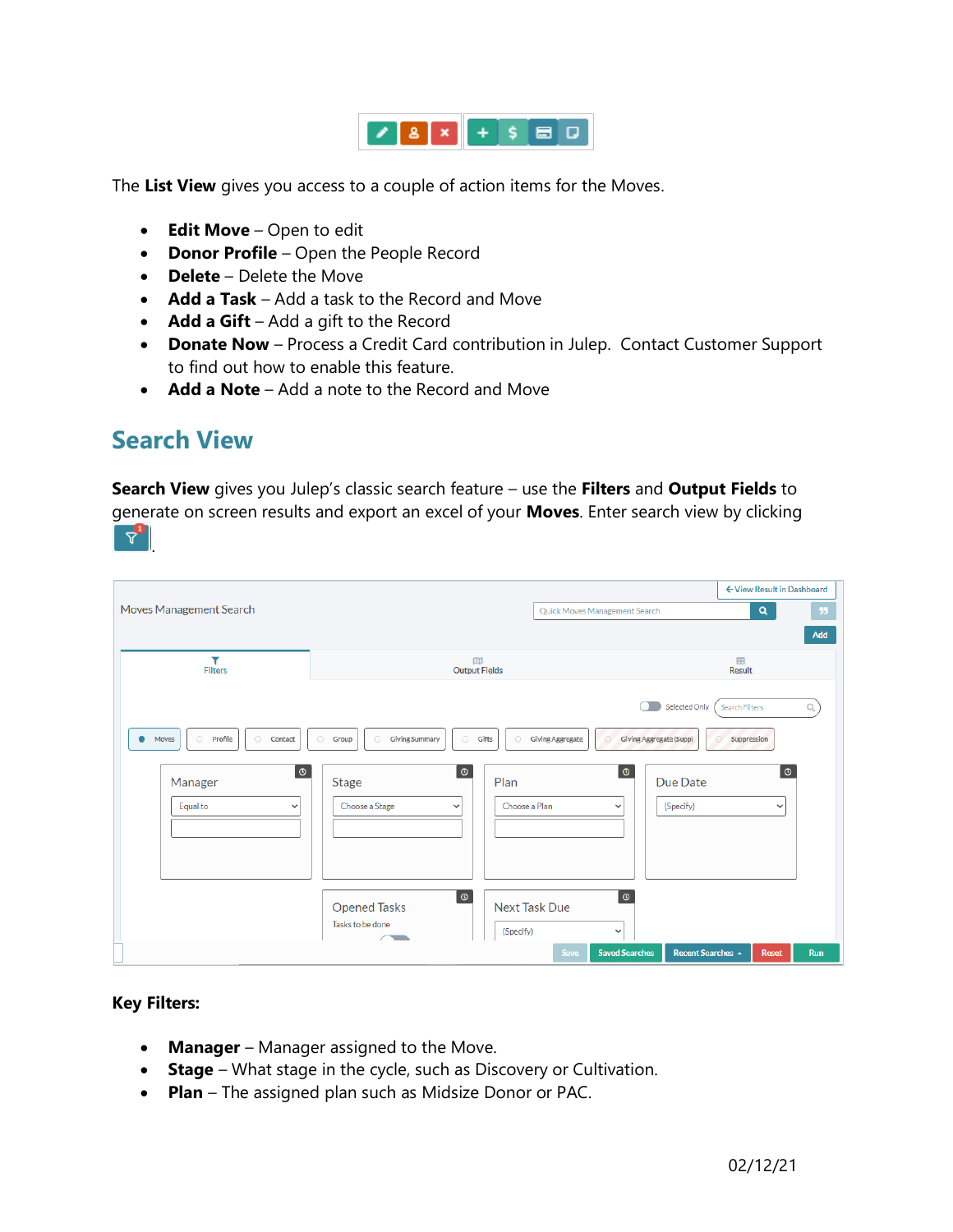

The **List View** gives you access to a couple of action items for the Moves.

- **Edit Move** Open to edit
- **Donor Profile** Open the People Record
- **Delete** Delete the Move
- **Add a Task** Add a task to the Record and Move
- **Add a Gift** Add a gift to the Record
- **Donate Now** Process a Credit Card contribution in Julep. Contact Customer Support to find out how to enable this feature.
- **Add a Note** Add a note to the Record and Move

### **Search View**

**Search View** gives you Julep's classic search feature – use the **Filters** and **Output Fields** to

generate on screen results and export an excel of your **Moves**. Enter search view by clicking  $\Delta$ 

|                                                           |                                                                                  |                                                 | ← View Result in Dashboard                       |
|-----------------------------------------------------------|----------------------------------------------------------------------------------|-------------------------------------------------|--------------------------------------------------|
| Moves Management Search                                   |                                                                                  | Quick Moves Management Search                   | $\alpha$<br>-99                                  |
|                                                           |                                                                                  |                                                 | Add                                              |
| Y<br><b>Filters</b>                                       | 血<br><b>Output Fields</b>                                                        |                                                 | 田<br>Result                                      |
|                                                           |                                                                                  |                                                 | Selected Only<br>$\alpha$<br>Search Filters      |
| O Profile<br>$\circlearrowright$<br>Contact<br>۰<br>Moves | Giving Summary<br>$\circlearrowright$<br>$\circ$<br>$\circlearrowright$<br>Group | Gifts<br>$\circ$<br>Giving Aggregate<br>$\circ$ | Giving Aggregate (Supp)<br>Suppression<br>⊙      |
| $\bullet$<br>Manager<br>Equal to<br>$\checkmark$          | $\circ$<br><b>Stage</b><br>Choose a Stage<br>$\checkmark$                        | $\circ$<br>Plan<br>Choose a Plan<br>v           | $\circ$<br>Due Date<br>(Specify)<br>$\checkmark$ |
|                                                           |                                                                                  |                                                 |                                                  |
|                                                           | $\pmb{\circ}$                                                                    | $\circledcirc$                                  |                                                  |
|                                                           | <b>Opened Tasks</b><br>Tasks to be done                                          | <b>Next Task Due</b>                            |                                                  |
|                                                           | $\sim$                                                                           | (Specify)<br>$\checkmark$                       |                                                  |
|                                                           |                                                                                  | <b>Saved Searches</b><br><b>Save</b>            | Recent Searches &<br><b>Reset</b><br><b>Run</b>  |

#### **Key Filters:**

- **Manager** Manager assigned to the Move.
- **Stage** What stage in the cycle, such as Discovery or Cultivation.
- **Plan** The assigned plan such as Midsize Donor or PAC.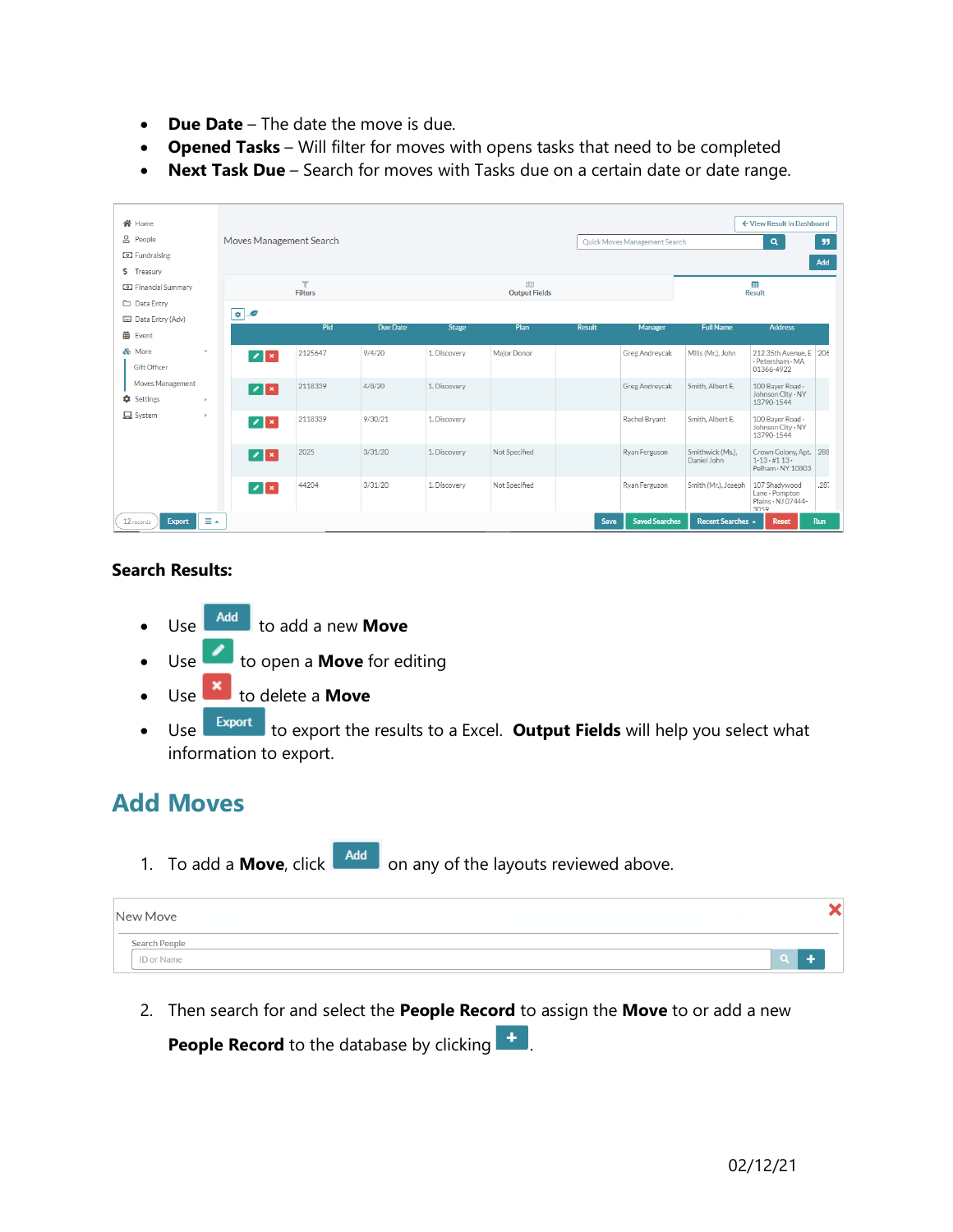- **Due Date** The date the move is due.
- **Opened Tasks** Will filter for moves with opens tasks that need to be completed
- **Next Task Due** Search for moves with Tasks due on a certain date or date range.

| <b>谷</b> Home                                         |                           |                                           |                 |              |                           |               |                               |                                 | ← View Result in Dashboard                                        |           |
|-------------------------------------------------------|---------------------------|-------------------------------------------|-----------------|--------------|---------------------------|---------------|-------------------------------|---------------------------------|-------------------------------------------------------------------|-----------|
| & People<br><b>D</b> Fundraising<br>\$ Treasury       |                           | Moves Management Search                   |                 |              |                           |               | Quick Moves Management Search |                                 | Q                                                                 | 55<br>Add |
| <b>D</b> Financial Summary<br>Data Entry              |                           | $\overline{\mathbf{Y}}$<br><b>Filters</b> |                 |              | m<br><b>Output Fields</b> |               |                               |                                 | 雷<br><b>Result</b>                                                |           |
| Data Entry (Adv)<br>曲<br>Event                        | $\bullet \quad \circ$     | Pid                                       | <b>Due Date</b> | <b>Stage</b> | Plan                      | <b>Result</b> | Manager                       | <b>Full Name</b>                | <b>Address</b>                                                    |           |
| & More<br>$\pi$<br><b>Gift Officer</b>                | $ z $ $\ge$               | 2125647                                   | 9/4/20          | 1. Discovery | Maior Donor               |               | Greg Andrevcak                | Mills (Mr.), John               | 212 35th Avenue, E 206<br>· Petersham · MA<br>01366-4922          |           |
| Moves Management<br><b>C</b> Settings<br>$\mathbf{b}$ | $ z $ $\ge$               | 2118339                                   | 4/8/20          | 1. Discovery |                           |               | Greg Andrevcak                | Smith, Albert E.                | 100 Baver Road -<br>Johnson City - NY<br>13790-1544               |           |
| $\Box$ System<br>$\rightarrow$                        | $\mathbb{Z}$ $\mathbb{R}$ | 2118339                                   | 9/30/21         | 1. Discovery |                           |               | Rachel Bryant                 | Smith, Albert E.                | 100 Bayer Road -<br>Johnson City - NY<br>13790-1544               |           |
|                                                       | $ Z $ $ X $               | 2025                                      | 3/31/20         | 1. Discovery | Not Specified             |               | Ryan Ferguson                 | Smithwick (Ms.).<br>Daniel John | Crown Colony, Apt. 288<br>$1 - 13 \cdot 113$<br>Pelham · NY 10803 |           |
|                                                       | $\mathbb{Z}$ $\mathbb{R}$ | 44204                                     | 3/31/20         | 1. Discovery | Not Specified             |               | Ryan Ferguson                 | Smith (Mr.), Joseph             | 107 Shadywood<br>Lane · Pompton<br>Plains - NJ 07444-<br>3059     | .287      |
| ≡∸<br>12 records<br>Export                            |                           |                                           |                 |              |                           | Save          | <b>Saved Searches</b>         | Recent Searches A               | <b>Reset</b>                                                      | Run       |

#### **Search Results:**

- Use **Add** to add a new **Move**
- Use to open a **Move** for editing
- Use **x** to delete a **Move**
- Use **Export** to export the results to a Excel. **Output Fields** will help you select what information to export.

### **Add Moves**

1. To add a **Move**, click **Add** on any of the layouts reviewed above.

| New Move      |  |  |
|---------------|--|--|
| Search People |  |  |
| ID or Name    |  |  |

2. Then search for and select the **People Record** to assign the **Move** to or add a new

**People Record** to the database by clicking  $\mathbf{f}$ .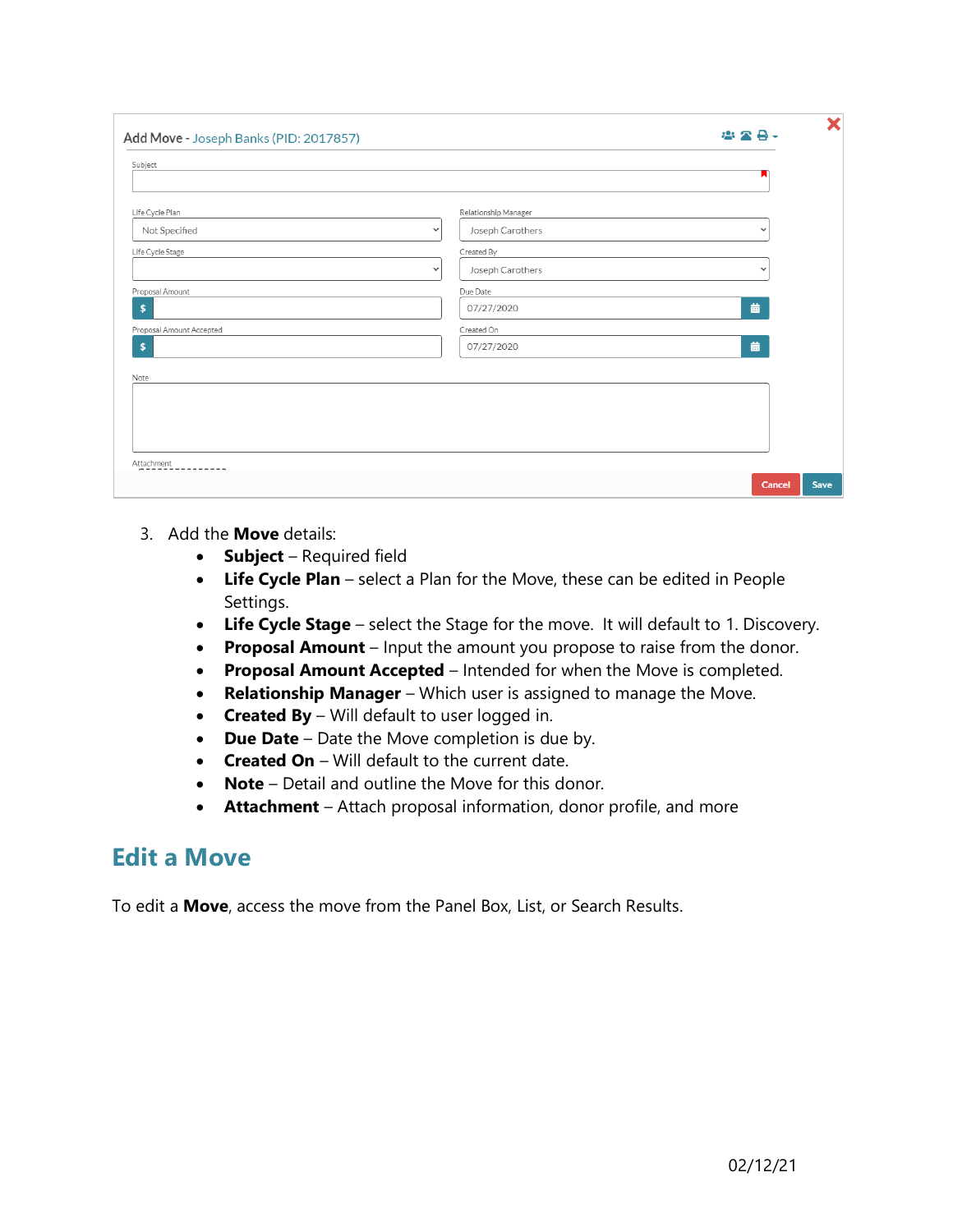| Add Move - Joseph Banks (PID: 2017857) |                                  | 28-<br>223   |
|----------------------------------------|----------------------------------|--------------|
| Subject                                |                                  |              |
|                                        |                                  |              |
| Life Cycle Plan                        | Relationship Manager             |              |
| Not Specified                          | Joseph Carothers<br>$\checkmark$ | $\checkmark$ |
| Life Cycle Stage                       | Created By                       |              |
|                                        | Joseph Carothers<br>$\checkmark$ | $\checkmark$ |
| Proposal Amount                        | Due Date                         |              |
| \$                                     | 07/27/2020                       | 藟            |
| Proposal Amount Accepted               | Created On                       |              |
| \$                                     | 07/27/2020                       | 藟            |
| Note                                   |                                  |              |
|                                        |                                  |              |
|                                        |                                  |              |
|                                        |                                  |              |
|                                        |                                  |              |
| Attachment<br>-------                  |                                  |              |

- 3. Add the **Move** details:
	- **Subject** Required field
	- **Life Cycle Plan** select a Plan for the Move, these can be edited in People Settings.
	- **Life Cycle Stage** select the Stage for the move. It will default to 1. Discovery.
	- **Proposal Amount** Input the amount you propose to raise from the donor.
	- **Proposal Amount Accepted** Intended for when the Move is completed.
	- **Relationship Manager** Which user is assigned to manage the Move.
	- **Created By** Will default to user logged in.
	- **Due Date** Date the Move completion is due by.
	- **Created On** Will default to the current date.
	- **Note** Detail and outline the Move for this donor.
	- **Attachment** Attach proposal information, donor profile, and more

#### **Edit a Move**

To edit a **Move**, access the move from the Panel Box, List, or Search Results.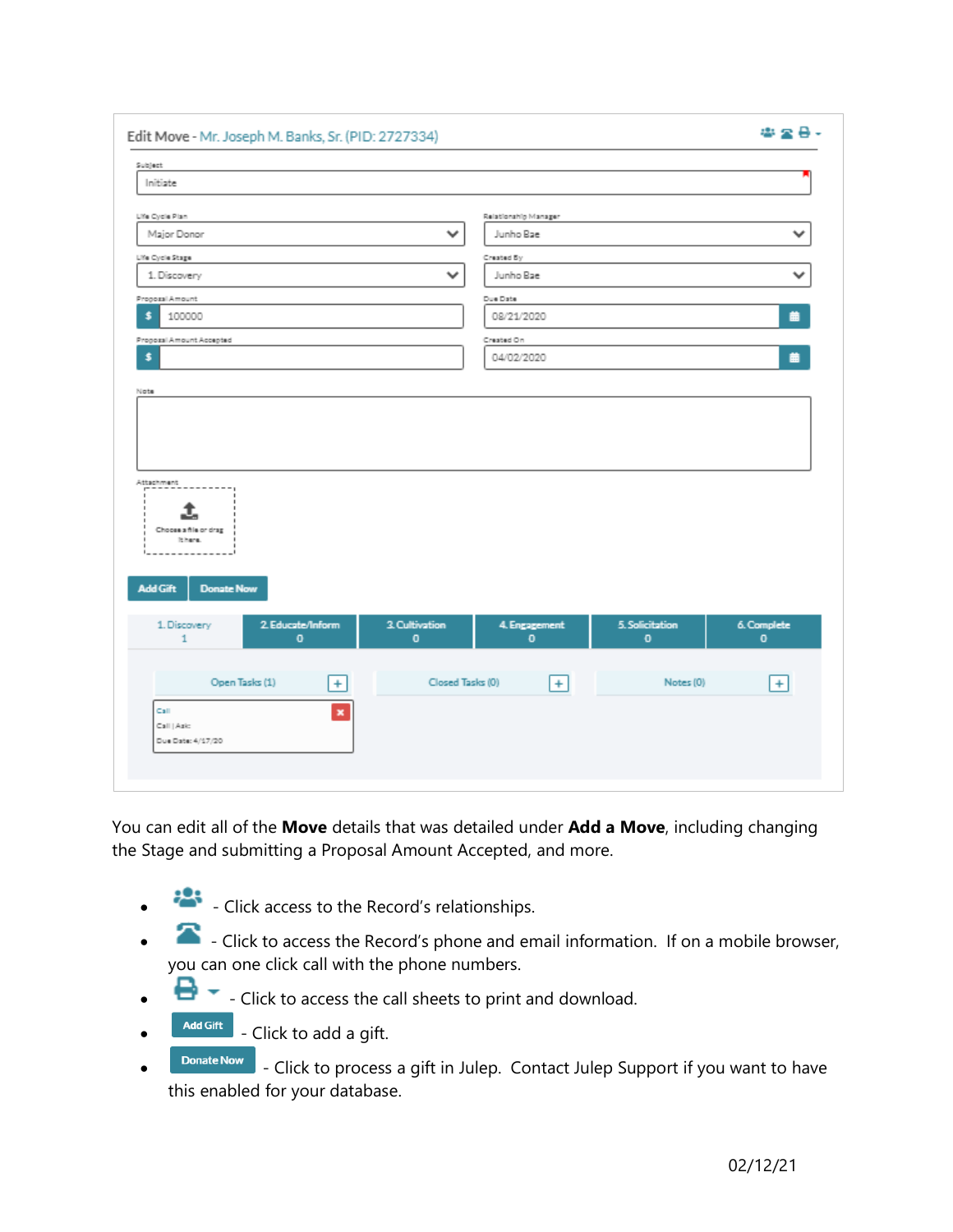| Subject<br>Initiate                                   |                             |                      |                                |                             |
|-------------------------------------------------------|-----------------------------|----------------------|--------------------------------|-----------------------------|
|                                                       |                             |                      |                                |                             |
| Life Cycle Plan                                       |                             | Relationship Manager |                                |                             |
| Major Donor                                           | v                           | Junho Bae            |                                | $\checkmark$                |
| Life Cycle Stage                                      |                             | Created By           |                                |                             |
| 1. Discovery                                          | ٧                           | Junho Bae            |                                | $\checkmark$                |
| Proposal Amount                                       |                             | Due Date             |                                |                             |
| \$<br>100000                                          |                             | 08/21/2020           |                                | 曲                           |
| Proposal Amount Accepted                              |                             | Created On           |                                |                             |
| \$                                                    |                             | 04/02/2020           |                                | 曲                           |
|                                                       |                             |                      |                                |                             |
| Ι.<br>Chocas a file or drag<br>Rhans.                 |                             |                      |                                |                             |
| <b>Add Gift</b><br><b>Donate Now</b>                  |                             |                      |                                |                             |
| 2. Educate/Inform<br>1. Discovery<br>$\mathbf 0$<br>1 | 3. Cultivation<br>$\bullet$ | 4. Engagement<br>o   | 5. Solicitation<br>$\mathbf 0$ | 6. Complete<br>$\mathbf{0}$ |
| Open Tasks (1)<br>$+$                                 | Closed Tasks (0)            | $+$                  | Notes (0)                      | $+$                         |

You can edit all of the **Move** details that was detailed under **Add a Move**, including changing the Stage and submitting a Proposal Amount Accepted, and more.

- - Click access to the Record's relationships.
- - Click to access the Record's phone and email information. If on a mobile browser, you can one click call with the phone numbers.
- $\blacksquare$   $\blacktriangleright$  Click to access the call sheets to print and download.
- $\begin{array}{c} \n\text{Add Gift} \\
\text{- Click to add a gift.}\n\end{array}$
- **DONATE NOW** Click to process a gift in Julep. Contact Julep Support if you want to have this enabled for your database.